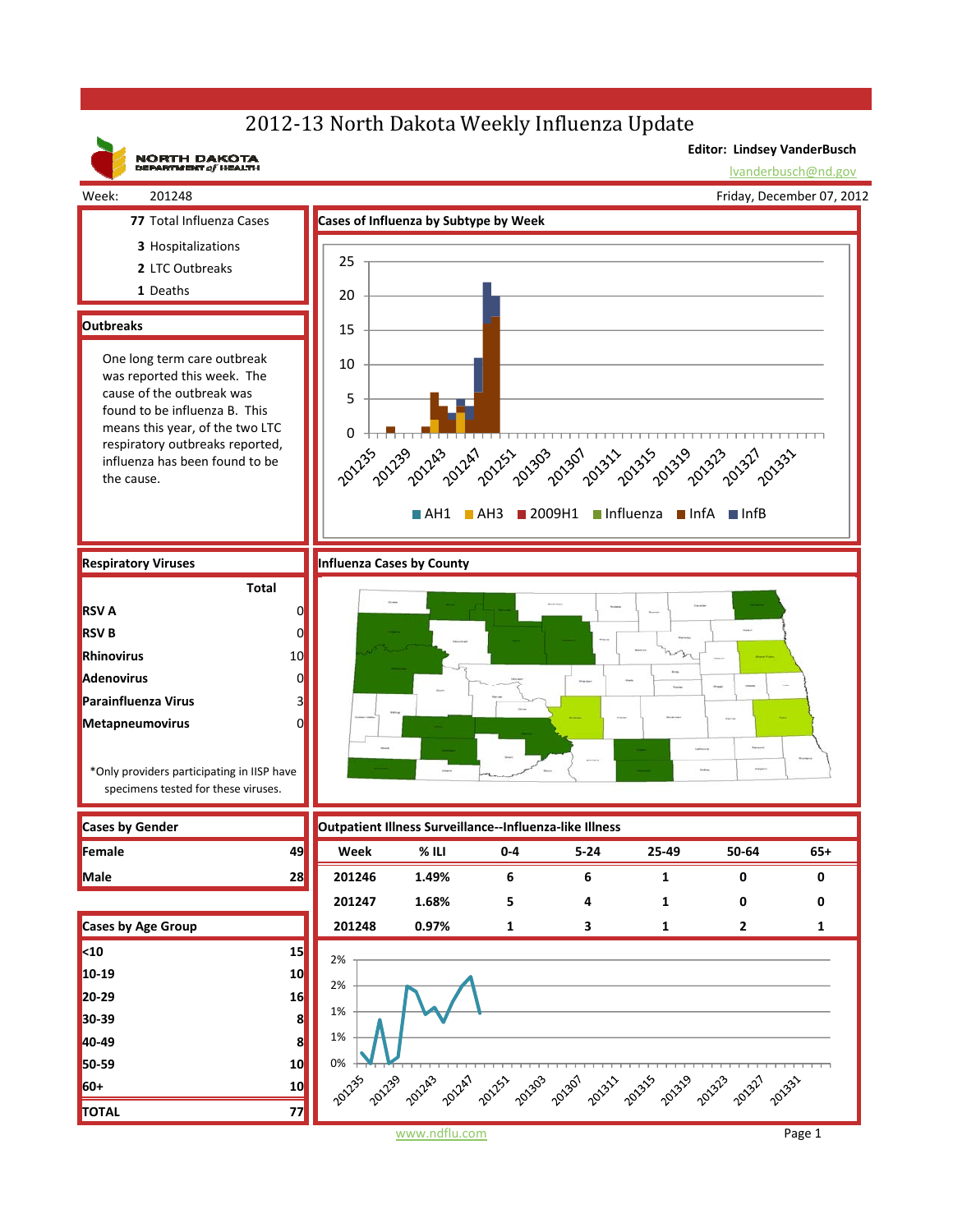